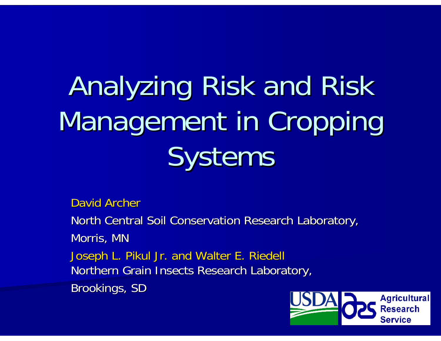# Analyzing Risk and Risk Management in Cropping Systems

David Archer

North Central Soil Conservation Research Laboratory, Morris, MN Joseph L. Pikul Jr. and Walter E. Riedell Northern Grain Insects Research Laboratory, Brookings, SD

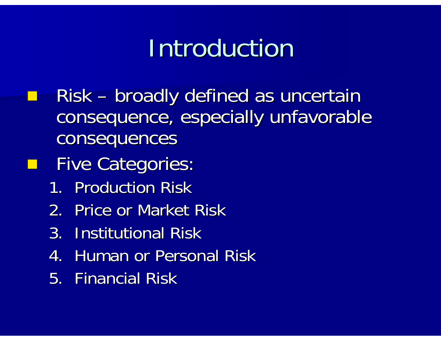## Introduction

- Risk – broadly defined as uncertain consequence, especially unfavorable consequences
- **Five Categories:** 
	- 1. Production Risk
	- 2. Price or Market Risk
	- 3. Institutional Risk
	- 4.. Human or Personal Risk
	- 5. Financial Risk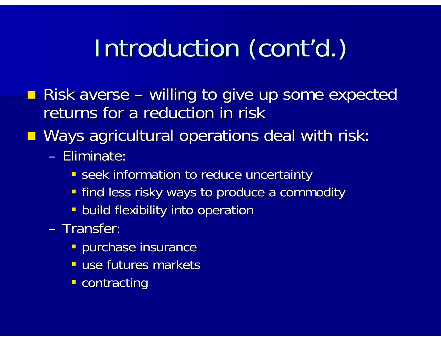## Introduction (cont'd.)

- **Risk averse** – **Links Communist Communist Communist Communist Communist Communist Communist Communist Communist Communist Communist Communist Communist Communist Communist Communist Communist Communist Communist Communist Communist Com** – willing to give up some expected returns for a reduction in risk
- Ways agricultural operations deal with risk:
	- Eliminate:
		- **Seek information to reduce uncertainty**
		- **Find less risky ways to produce a commodity**
		- **-** build flexibility into operation
	- Transfer:
		- **Purchase insurance**
		- **use futures markets**
		- **-** contracting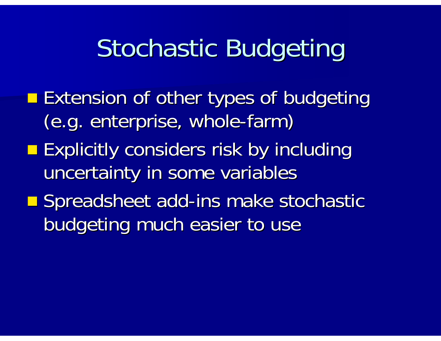## Stochastic Budgeting

**Extension of other types of budgeting** (e.g. enterprise, whole-farm) **Explicitly considers risk by including** uncertainty in some variables **E** Spreadsheet add-ins make stochastic budgeting much easier to use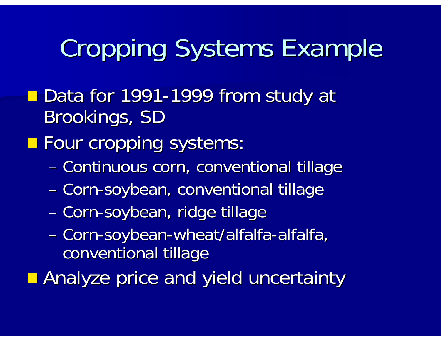## **Cropping Systems Example**

■ Data for 1991-1999 from study at Brookings, SD

**Four cropping systems:** 

- and the control of the control of – Continuous corn, conventional tillage
- Corn-soybean, conventional tillage
- Corn-soybean, ridge tillage
- Corn-soybean-wheat/alfalfa-alfalfa, conventional tillage
- **Analyze price and yield uncertainty**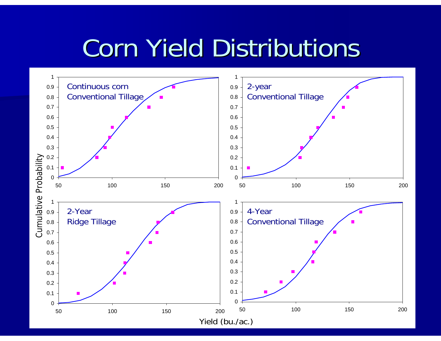## **Corn Yield Distributions**

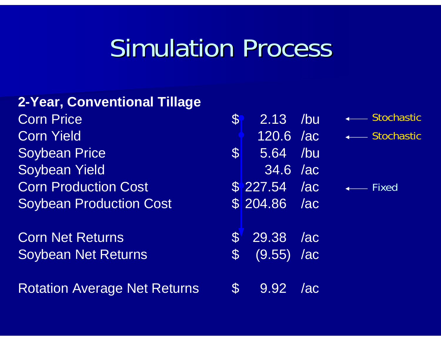### **Simulation Process**

#### **2-Year, Conventional Tillage**

**Corn Price Corn Yield** Soybean Price Soybean Yield **Corn Production Cost Soybean Production Cost** 

**Corn Net Returns** Soybean Net Returns

**Rotation Average Net Returns** 

| $\mathfrak{F}% _{0}$ | 2.13 /bu      |     | ← Stochastic       |
|----------------------|---------------|-----|--------------------|
|                      | 120.6 /ac     |     | ■ Stochastic       |
| S                    | 5.64 /bu      |     |                    |
|                      | 34.6 /ac      |     |                    |
|                      | $$227.54$ 7ac |     | $\leftarrow$ Fixed |
|                      | $$204.86$ /ac |     |                    |
|                      |               |     |                    |
| $\mathbf{S}$         | 29.38 /ac     |     |                    |
| $\mathbb{S}^-$       | $(9.55)$ /ac  |     |                    |
|                      |               |     |                    |
|                      | 9.92          | /ac |                    |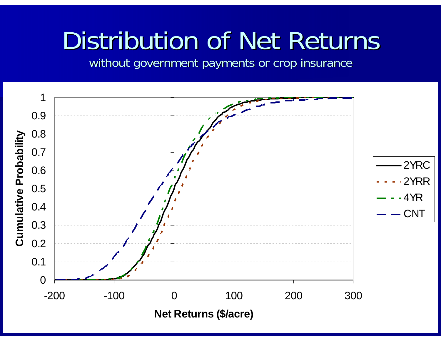## Distribution of Net Returns

without government payments or crop insurance

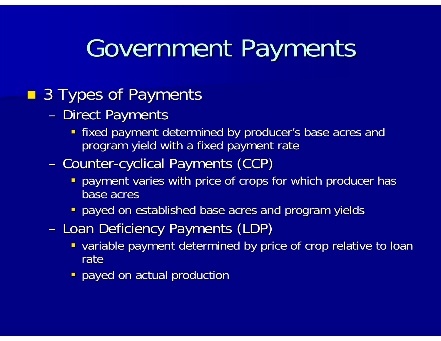## Government Payments

#### **3 Types of Payments**

- and the state of the state of the - Direct Payments
	- **Fixed payment determined by producer's base acres and fixed payment determined by producer's base acres and** program yield with a fixed payment rate
- and the contract of the contract of the - Counter-cyclical Payments (CCP)
	- **-** payment varies with price of crops for which producer has base acres
	- **-** payed on established base acres and program yields
- and the state of the state of the - Loan Deficiency Payments (LDP)
	- **variable payment determined by price of crop relative to loan** rate
	- **-** payed on actual production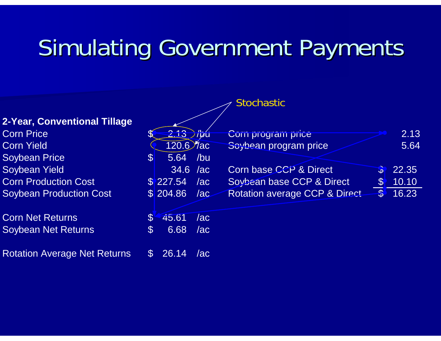#### Simulating Government Payments

|                                     |                             | <b>Stochastic</b>                                         |       |
|-------------------------------------|-----------------------------|-----------------------------------------------------------|-------|
| <b>2-Year, Conventional Tillage</b> |                             |                                                           |       |
| <b>Corn Price</b>                   | $2.13$ /bu                  | Com program price                                         | 2.13  |
| <b>Corn Yield</b>                   | $120.6$ $7a$ c              | Soybean program price                                     | 5.64  |
| <b>Soybean Price</b>                | 5.64<br>$\mathbb{S}$<br>/bu |                                                           |       |
| <b>Soybean Yield</b>                | $34.6$ /ac                  | Corn base CCP & Direct<br>$\mathbf{D}$                    | 22.35 |
| <b>Corn Production Cost</b>         | \$227.54<br>/ac             | Soybean base CCP & Direct<br>$\$$                         | 10.10 |
| <b>Soybean Production Cost</b>      | \$204.86<br>/ac             | $\frac{1}{2}$<br><b>Rotation average CCP &amp; Direct</b> | 16.23 |
| <b>Corn Net Returns</b>             | 45.61<br>/ac                |                                                           |       |
| <b>Soybean Net Returns</b>          | $\$$<br>6.68<br>/ac         |                                                           |       |
|                                     |                             |                                                           |       |

Rotation Average Net Returns \$ 26.14 /ac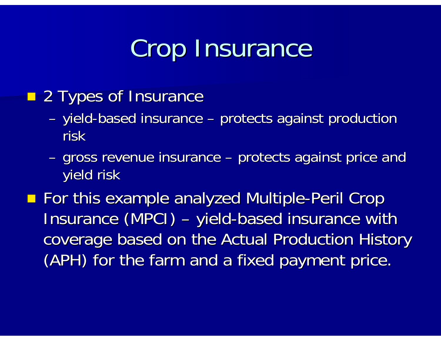## Crop Insurance

- **2 Types of Insurance** 
	- and the state of the state of the – yield-based insurance – and the state of the state of the – protects against production risk
	- and the state of the state of the – gross revenue insurance i and the state of the state of the – protects against price and yield risk yield risk
- **For this example analyzed Multiple-Peril Crop** Insurance (MPCI) –– yield-based insurance with coverage based on the Actual Production History coverage based on the Actual Production History (APH) for the farm and a fixed payment price.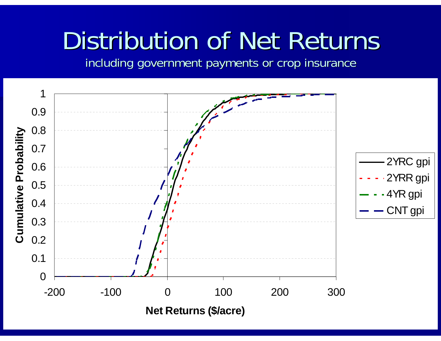## Distribution of Net Returns

including government payments or crop insurance

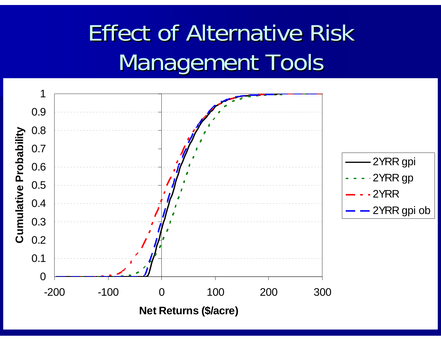## **Effect of Alternative Risk** Management Tools

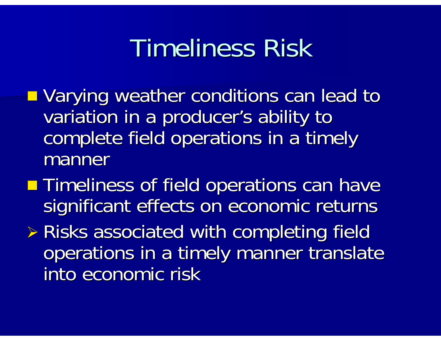## Timeliness Risk

- **u.** Varying weather conditions can lead to variation in a producer's ability to complete field operations in a timely manner
- **Timeliness of field operations can have** significant effects on economic returns
- $\triangleright$  Risks associated with completing field operations in a timely manner translate into economic risk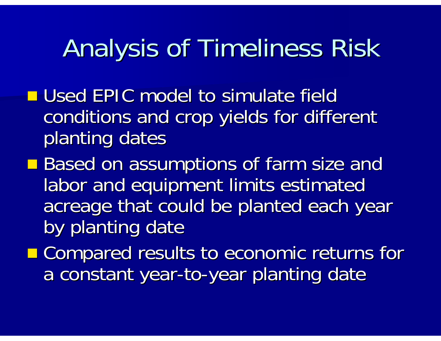## Analysis of Timeliness Risk

- **Used EPIC model to simulate field** conditions and crop yields for different planting dates
- **Based on assumptions of farm size and Based on assumptions of farm size and** labor and equipment limits estimated acreage that could be planted each year by planting date
- **E** Compared results to economic returns for a constant year-to-year planting date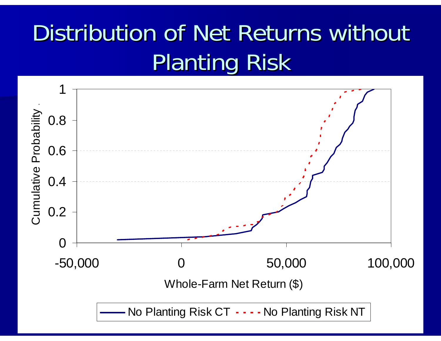## Distribution of Net Returns without **Planting Risk**

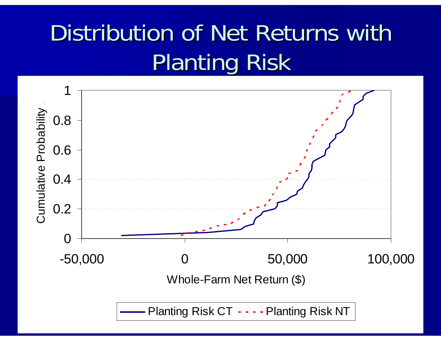## Distribution of Net Returns with Planting Risk

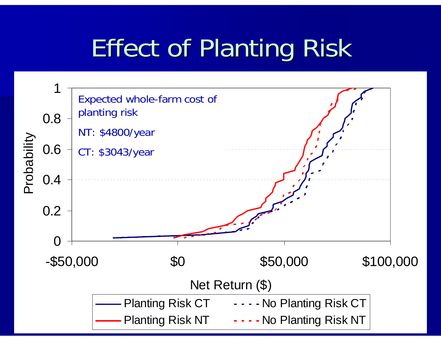## **Effect of Planting Risk**